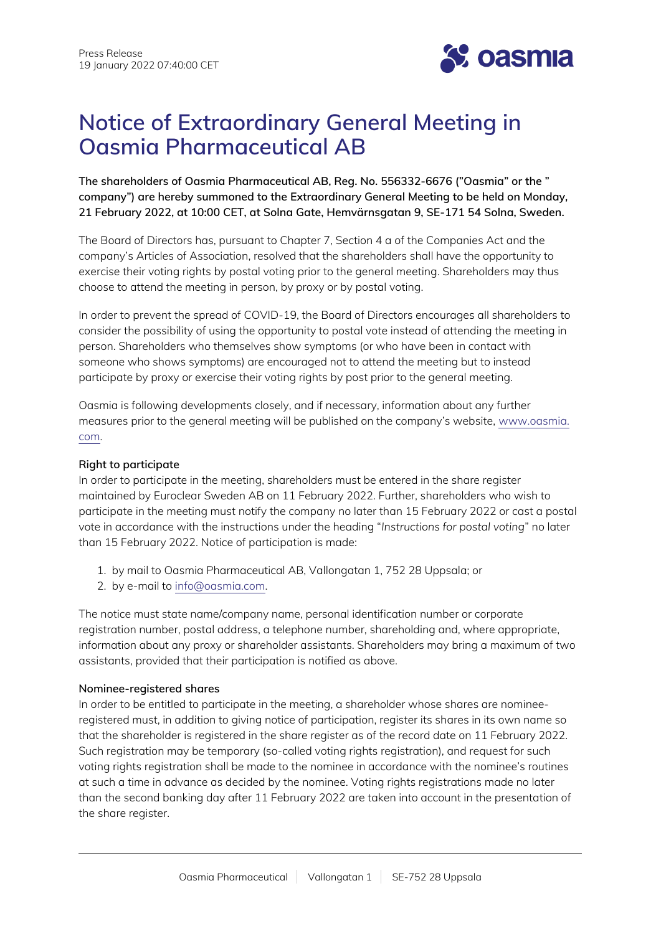

# **Notice of Extraordinary General Meeting in Oasmia Pharmaceutical AB**

**The shareholders of Oasmia Pharmaceutical AB, Reg. No. 556332-6676 ("Oasmia" or the " company") are hereby summoned to the Extraordinary General Meeting to be held on Monday, 21 February 2022, at 10:00 CET, at Solna Gate, Hemvärnsgatan 9, SE-171 54 Solna, Sweden.**

The Board of Directors has, pursuant to Chapter 7, Section 4 a of the Companies Act and the company's Articles of Association, resolved that the shareholders shall have the opportunity to exercise their voting rights by postal voting prior to the general meeting. Shareholders may thus choose to attend the meeting in person, by proxy or by postal voting.

In order to prevent the spread of COVID-19, the Board of Directors encourages all shareholders to consider the possibility of using the opportunity to postal vote instead of attending the meeting in person. Shareholders who themselves show symptoms (or who have been in contact with someone who shows symptoms) are encouraged not to attend the meeting but to instead participate by proxy or exercise their voting rights by post prior to the general meeting.

Oasmia is following developments closely, and if necessary, information about any further measures prior to the general meeting will be published on the company's website, [www.oasmia.](http://www.oasmia.com/) [com](http://www.oasmia.com/).

# **Right to participate**

In order to participate in the meeting, shareholders must be entered in the share register maintained by Euroclear Sweden AB on 11 February 2022. Further, shareholders who wish to participate in the meeting must notify the company no later than 15 February 2022 or cast a postal vote in accordance with the instructions under the heading "*Instructions for postal voting*" no later than 15 February 2022. Notice of participation is made:

- 1. by mail to Oasmia Pharmaceutical AB, Vallongatan 1, 752 28 Uppsala; or
- 2. by e-mail to [info@oasmia.com.](mailto:info@oasmia.com)

The notice must state name/company name, personal identification number or corporate registration number, postal address, a telephone number, shareholding and, where appropriate, information about any proxy or shareholder assistants. Shareholders may bring a maximum of two assistants, provided that their participation is notified as above.

# **Nominee-registered shares**

In order to be entitled to participate in the meeting, a shareholder whose shares are nomineeregistered must, in addition to giving notice of participation, register its shares in its own name so that the shareholder is registered in the share register as of the record date on 11 February 2022. Such registration may be temporary (so-called voting rights registration), and request for such voting rights registration shall be made to the nominee in accordance with the nominee's routines at such a time in advance as decided by the nominee. Voting rights registrations made no later than the second banking day after 11 February 2022 are taken into account in the presentation of the share register.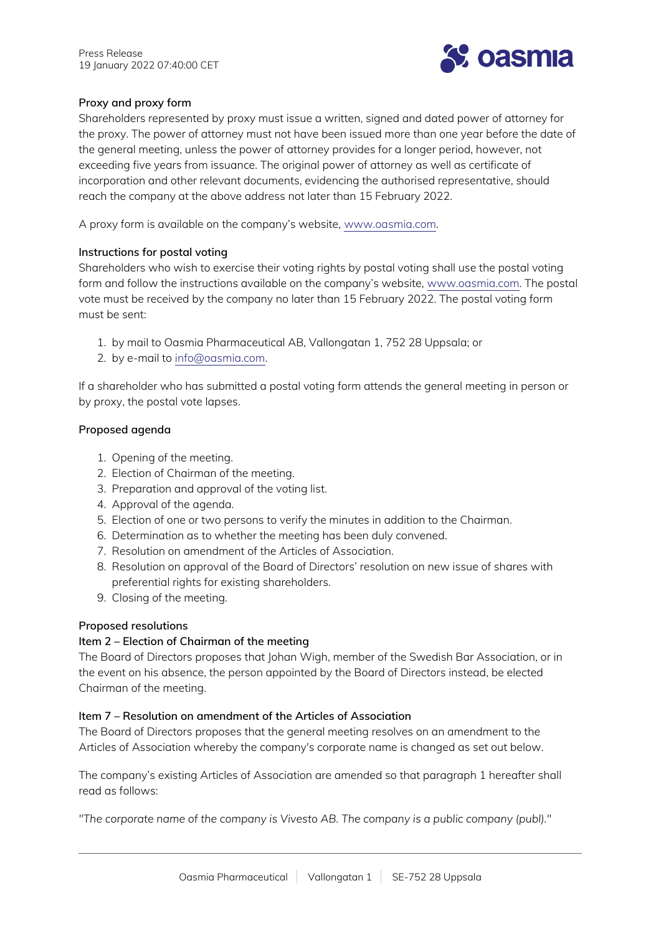

# **Proxy and proxy form**

Shareholders represented by proxy must issue a written, signed and dated power of attorney for the proxy. The power of attorney must not have been issued more than one year before the date of the general meeting, unless the power of attorney provides for a longer period, however, not exceeding five years from issuance. The original power of attorney as well as certificate of incorporation and other relevant documents, evidencing the authorised representative, should reach the company at the above address not later than 15 February 2022.

A proxy form is available on the company's website, [www.oasmia.com](http://www.oasmia.com/).

# **Instructions for postal voting**

Shareholders who wish to exercise their voting rights by postal voting shall use the postal voting form and follow the instructions available on the company's website, [www.oasmia.com.](http://www.oasmia.com/) The postal vote must be received by the company no later than 15 February 2022. The postal voting form must be sent:

- 1. by mail to Oasmia Pharmaceutical AB, Vallongatan 1, 752 28 Uppsala; or
- 2. by e-mail to [info@oasmia.com.](mailto:info@oasmia.com)

If a shareholder who has submitted a postal voting form attends the general meeting in person or by proxy, the postal vote lapses.

# **Proposed agenda**

- 1. Opening of the meeting.
- 2. Election of Chairman of the meeting.
- 3. Preparation and approval of the voting list.
- 4. Approval of the agenda.
- 5. Election of one or two persons to verify the minutes in addition to the Chairman.
- 6. Determination as to whether the meeting has been duly convened.
- 7. Resolution on amendment of the Articles of Association.
- 8. Resolution on approval of the Board of Directors' resolution on new issue of shares with preferential rights for existing shareholders.
- 9. Closing of the meeting.

# **Proposed resolutions**

# **Item 2 – Election of Chairman of the meeting**

The Board of Directors proposes that Johan Wigh, member of the Swedish Bar Association, or in the event on his absence, the person appointed by the Board of Directors instead, be elected Chairman of the meeting.

# **Item 7 – Resolution on amendment of the Articles of Association**

The Board of Directors proposes that the general meeting resolves on an amendment to the Articles of Association whereby the company's corporate name is changed as set out below.

The company's existing Articles of Association are amended so that paragraph 1 hereafter shall read as follows:

*"The corporate name of the company is Vivesto AB. The company is a public company (publ)."*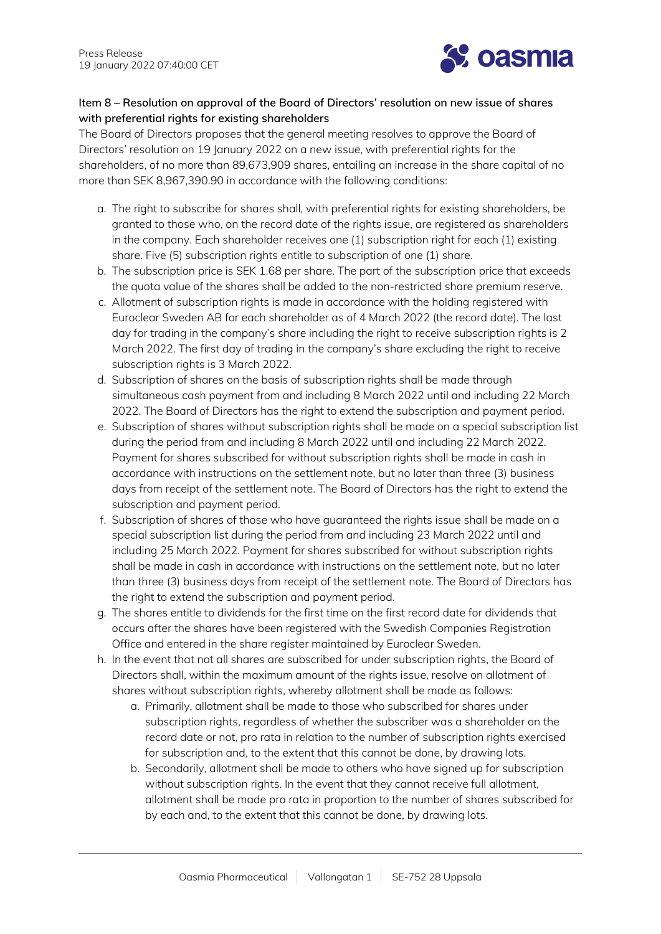

# **Item 8 – Resolution on approval of the Board of Directors' resolution on new issue of shares with preferential rights for existing shareholders**

The Board of Directors proposes that the general meeting resolves to approve the Board of Directors' resolution on 19 January 2022 on a new issue, with preferential rights for the shareholders, of no more than 89,673,909 shares, entailing an increase in the share capital of no more than SEK 8,967,390.90 in accordance with the following conditions:

- a. The right to subscribe for shares shall, with preferential rights for existing shareholders, be granted to those who, on the record date of the rights issue, are registered as shareholders in the company. Each shareholder receives one (1) subscription right for each (1) existing share. Five (5) subscription rights entitle to subscription of one (1) share.
- b. The subscription price is SEK 1.68 per share. The part of the subscription price that exceeds the quota value of the shares shall be added to the non-restricted share premium reserve.
- c. Allotment of subscription rights is made in accordance with the holding registered with Euroclear Sweden AB for each shareholder as of 4 March 2022 (the record date). The last day for trading in the company's share including the right to receive subscription rights is 2 March 2022. The first day of trading in the company's share excluding the right to receive subscription rights is 3 March 2022.
- d. Subscription of shares on the basis of subscription rights shall be made through simultaneous cash payment from and including 8 March 2022 until and including 22 March 2022. The Board of Directors has the right to extend the subscription and payment period.
- e. Subscription of shares without subscription rights shall be made on a special subscription list during the period from and including 8 March 2022 until and including 22 March 2022. Payment for shares subscribed for without subscription rights shall be made in cash in accordance with instructions on the settlement note, but no later than three (3) business days from receipt of the settlement note. The Board of Directors has the right to extend the subscription and payment period.
- f. Subscription of shares of those who have guaranteed the rights issue shall be made on a special subscription list during the period from and including 23 March 2022 until and including 25 March 2022. Payment for shares subscribed for without subscription rights shall be made in cash in accordance with instructions on the settlement note, but no later than three (3) business days from receipt of the settlement note. The Board of Directors has the right to extend the subscription and payment period.
- g. The shares entitle to dividends for the first time on the first record date for dividends that occurs after the shares have been registered with the Swedish Companies Registration Office and entered in the share register maintained by Euroclear Sweden.
- h. In the event that not all shares are subscribed for under subscription rights, the Board of Directors shall, within the maximum amount of the rights issue, resolve on allotment of shares without subscription rights, whereby allotment shall be made as follows:
	- a. Primarily, allotment shall be made to those who subscribed for shares under subscription rights, regardless of whether the subscriber was a shareholder on the record date or not, pro rata in relation to the number of subscription rights exercised for subscription and, to the extent that this cannot be done, by drawing lots.
	- b. Secondarily, allotment shall be made to others who have signed up for subscription without subscription rights. In the event that they cannot receive full allotment, allotment shall be made pro rata in proportion to the number of shares subscribed for by each and, to the extent that this cannot be done, by drawing lots.